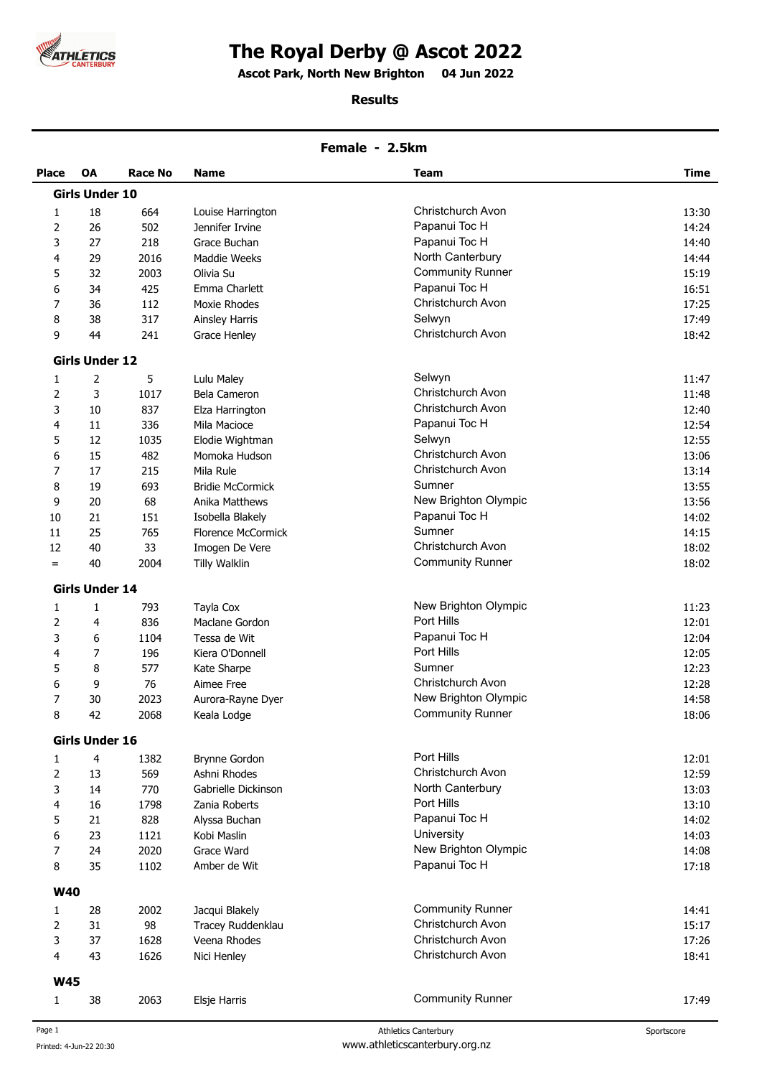

# **The Royal Derby @ Ascot 2022**

**Ascot Park, North New Brighton 04 Jun 2022 .** 

### **Results**

### **Female - 2.5km**

| <b>Place</b> | <b>OA</b>             | Race No | <b>Name</b>               | Team                     | Time  |
|--------------|-----------------------|---------|---------------------------|--------------------------|-------|
|              | <b>Girls Under 10</b> |         |                           |                          |       |
| 1            | 18                    | 664     | Louise Harrington         | Christchurch Avon        | 13:30 |
| 2            | 26                    | 502     | Jennifer Irvine           | Papanui Toc H            | 14:24 |
| 3            | 27                    | 218     | Grace Buchan              | Papanui Toc H            | 14:40 |
| 4            | 29                    | 2016    | Maddie Weeks              | North Canterbury         | 14:44 |
| 5            | 32                    | 2003    | Olivia Su                 | <b>Community Runner</b>  | 15:19 |
| 6            | 34                    | 425     | Emma Charlett             | Papanui Toc H            | 16:51 |
| 7            | 36                    | 112     | Moxie Rhodes              | Christchurch Avon        | 17:25 |
| 8            | 38                    | 317     | <b>Ainsley Harris</b>     | Selwyn                   | 17:49 |
| 9            | 44                    | 241     | Grace Henley              | Christchurch Avon        | 18:42 |
|              | <b>Girls Under 12</b> |         |                           |                          |       |
| 1            | 2                     | 5       | Lulu Maley                | Selwyn                   | 11:47 |
| 2            | 3                     | 1017    | Bela Cameron              | Christchurch Avon        | 11:48 |
| 3            | 10                    | 837     | Elza Harrington           | <b>Christchurch Avon</b> | 12:40 |
| 4            | 11                    | 336     | Mila Macioce              | Papanui Toc H            | 12:54 |
| 5            | 12                    | 1035    | Elodie Wightman           | Selwyn                   | 12:55 |
| 6            | 15                    | 482     | Momoka Hudson             | Christchurch Avon        | 13:06 |
| 7            | 17                    | 215     | Mila Rule                 | <b>Christchurch Avon</b> | 13:14 |
| 8            | 19                    | 693     | <b>Bridie McCormick</b>   | Sumner                   | 13:55 |
| 9            | 20                    | 68      | Anika Matthews            | New Brighton Olympic     | 13:56 |
| 10           | 21                    | 151     | Isobella Blakely          | Papanui Toc H            | 14:02 |
| 11           | 25                    | 765     | <b>Florence McCormick</b> | Sumner                   | 14:15 |
| 12           | 40                    | 33      | Imogen De Vere            | Christchurch Avon        | 18:02 |
| $=$          | 40                    | 2004    | <b>Tilly Walklin</b>      | <b>Community Runner</b>  | 18:02 |
|              | <b>Girls Under 14</b> |         |                           |                          |       |
| 1            | $\mathbf{1}$          | 793     | Tayla Cox                 | New Brighton Olympic     | 11:23 |
| 2            | 4                     | 836     | Maclane Gordon            | Port Hills               | 12:01 |
| 3            | 6                     | 1104    | Tessa de Wit              | Papanui Toc H            | 12:04 |
| 4            | 7                     | 196     | Kiera O'Donnell           | Port Hills               | 12:05 |
| 5            | 8                     | 577     | Kate Sharpe               | Sumner                   | 12:23 |
| 6            | 9                     | 76      | Aimee Free                | Christchurch Avon        | 12:28 |
| 7            | 30                    | 2023    | Aurora-Rayne Dyer         | New Brighton Olympic     | 14:58 |
| 8            | 42                    | 2068    | Keala Lodge               | <b>Community Runner</b>  | 18:06 |
|              | <b>Girls Under 16</b> |         |                           |                          |       |
| 1            | 4                     | 1382    | <b>Brynne Gordon</b>      | Port Hills               | 12:01 |
| 2            | 13                    | 569     | Ashni Rhodes              | Christchurch Avon        | 12:59 |
| 3            | 14                    | 770     | Gabrielle Dickinson       | North Canterbury         | 13:03 |
| 4            | 16                    | 1798    | Zania Roberts             | Port Hills               | 13:10 |
| 5            | 21                    | 828     | Alyssa Buchan             | Papanui Toc H            | 14:02 |
| 6            | 23                    | 1121    | Kobi Maslin               | University               | 14:03 |
| 7            | 24                    | 2020    | Grace Ward                | New Brighton Olympic     | 14:08 |
| 8            | 35                    | 1102    | Amber de Wit              | Papanui Toc H            | 17:18 |
| <b>W40</b>   |                       |         |                           |                          |       |
| 1            | 28                    | 2002    | Jacqui Blakely            | <b>Community Runner</b>  | 14:41 |
| 2            | 31                    | 98      | Tracey Ruddenklau         | Christchurch Avon        | 15:17 |
| 3            | 37                    | 1628    | Veena Rhodes              | Christchurch Avon        | 17:26 |
| 4            | 43                    | 1626    | Nici Henley               | Christchurch Avon        | 18:41 |
| <b>W45</b>   |                       |         |                           |                          |       |
| 1            | 38                    | 2063    | Elsje Harris              | <b>Community Runner</b>  | 17:49 |
|              |                       |         |                           |                          |       |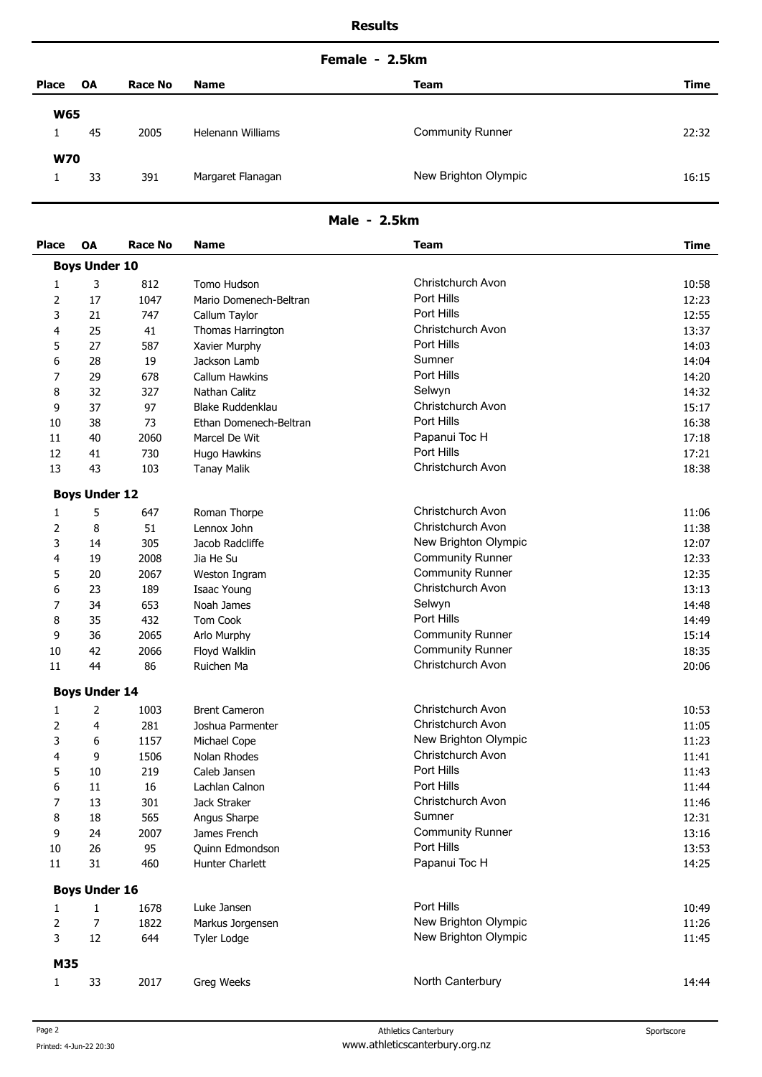### **Female - 2.5km**

| <b>Place</b> |            | <b>OA</b> | <b>Race No</b> | <b>Name</b>       | Team                    | Time  |
|--------------|------------|-----------|----------------|-------------------|-------------------------|-------|
|              | <b>W65</b> |           |                |                   |                         |       |
|              |            | 45        | 2005           | Helenann Williams | <b>Community Runner</b> | 22:32 |
|              | <b>W70</b> |           |                |                   |                         |       |
|              |            | 33        | 391            | Margaret Flanagan | New Brighton Olympic    | 16:15 |

## **Male - 2.5km**

| <b>Place</b> | <b>OA</b>            | <b>Race No</b> | <b>Name</b>            | Team                    | <b>Time</b> |
|--------------|----------------------|----------------|------------------------|-------------------------|-------------|
|              | <b>Boys Under 10</b> |                |                        |                         |             |
| 1            | 3                    | 812            | Tomo Hudson            | Christchurch Avon       | 10:58       |
| 2            | 17                   | 1047           | Mario Domenech-Beltran | Port Hills              | 12:23       |
| 3            | 21                   | 747            | Callum Taylor          | Port Hills              | 12:55       |
| 4            | 25                   | 41             | Thomas Harrington      | Christchurch Avon       | 13:37       |
| 5            | 27                   | 587            | Xavier Murphy          | Port Hills              | 14:03       |
| 6            | 28                   | 19             | Jackson Lamb           | Sumner                  | 14:04       |
| 7            | 29                   | 678            | Callum Hawkins         | Port Hills              | 14:20       |
| 8            | 32                   | 327            | Nathan Calitz          | Selwyn                  | 14:32       |
| 9            | 37                   | 97             | Blake Ruddenklau       | Christchurch Avon       | 15:17       |
| 10           | 38                   | 73             | Ethan Domenech-Beltran | Port Hills              | 16:38       |
| 11           | 40                   | 2060           | Marcel De Wit          | Papanui Toc H           | 17:18       |
| 12           | 41                   | 730            | Hugo Hawkins           | Port Hills              | 17:21       |
| 13           | 43                   | 103            | <b>Tanay Malik</b>     | Christchurch Avon       | 18:38       |
|              | <b>Boys Under 12</b> |                |                        |                         |             |
| 1            | 5                    | 647            | Roman Thorpe           | Christchurch Avon       | 11:06       |
| 2            | 8                    | 51             | Lennox John            | Christchurch Avon       | 11:38       |
| 3            | 14                   | 305            | Jacob Radcliffe        | New Brighton Olympic    | 12:07       |
| 4            | 19                   | 2008           | Jia He Su              | <b>Community Runner</b> | 12:33       |
| 5            | 20                   | 2067           | Weston Ingram          | <b>Community Runner</b> | 12:35       |
| 6            | 23                   | 189            | Isaac Young            | Christchurch Avon       | 13:13       |
| 7            | 34                   | 653            | Noah James             | Selwyn                  | 14:48       |
| 8            | 35                   | 432            | Tom Cook               | Port Hills              | 14:49       |
| 9            | 36                   | 2065           | Arlo Murphy            | <b>Community Runner</b> | 15:14       |
| 10           | 42                   | 2066           | Floyd Walklin          | <b>Community Runner</b> | 18:35       |
| 11           | 44                   | 86             | Ruichen Ma             | Christchurch Avon       | 20:06       |
|              | <b>Boys Under 14</b> |                |                        |                         |             |
| 1            | 2                    | 1003           | <b>Brent Cameron</b>   | Christchurch Avon       | 10:53       |
| 2            | 4                    | 281            | Joshua Parmenter       | Christchurch Avon       | 11:05       |
| 3            | 6                    | 1157           | Michael Cope           | New Brighton Olympic    | 11:23       |
| 4            | 9                    | 1506           | Nolan Rhodes           | Christchurch Avon       | 11:41       |
| 5            | 10                   | 219            | Caleb Jansen           | Port Hills              | 11:43       |
| 6            | 11                   | 16             | Lachlan Calnon         | Port Hills              | 11:44       |
| 7            | 13                   | 301            | Jack Straker           | Christchurch Avon       | 11:46       |
| 8            | 18                   | 565            | Angus Sharpe           | Sumner                  | 12:31       |
| 9            | 24                   | 2007           | James French           | <b>Community Runner</b> | 13:16       |
| $10\,$       | 26                   | 95             | Quinn Edmondson        | Port Hills              | 13:53       |
| $11\,$       | 31                   | 460            | Hunter Charlett        | Papanui Toc H           | 14:25       |
|              | <b>Boys Under 16</b> |                |                        |                         |             |
| 1            | 1                    | 1678           | Luke Jansen            | Port Hills              | 10:49       |
| 2            | $\overline{7}$       | 1822           | Markus Jorgensen       | New Brighton Olympic    | 11:26       |
| 3            | 12                   | 644            | <b>Tyler Lodge</b>     | New Brighton Olympic    | 11:45       |
| M35          |                      |                |                        |                         |             |
| $\mathbf{1}$ | 33                   | 2017           | Greg Weeks             | North Canterbury        | 14:44       |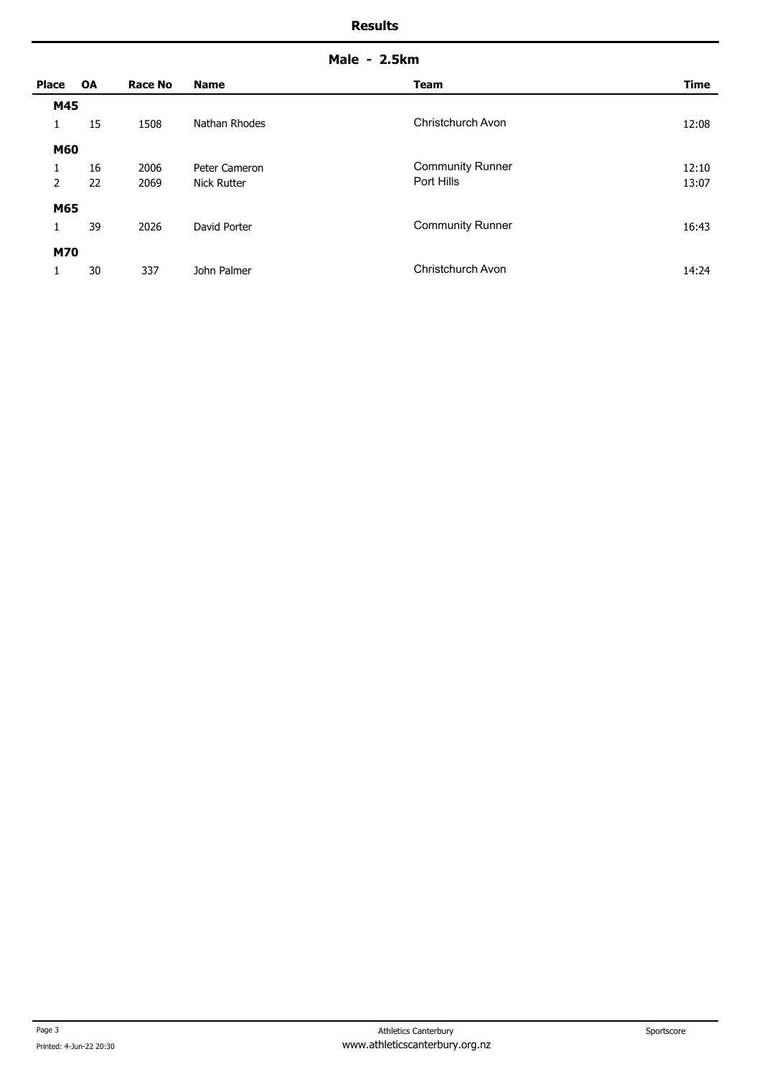| Male | 2.5km |
|------|-------|
|------|-------|

| <b>Place</b>   | OA | <b>Race No</b> | <b>Name</b>        | <b>Team</b>             | <b>Time</b> |
|----------------|----|----------------|--------------------|-------------------------|-------------|
| M45            |    |                |                    |                         |             |
| 1              | 15 | 1508           | Nathan Rhodes      | Christchurch Avon       | 12:08       |
| M60            |    |                |                    |                         |             |
| 1              | 16 | 2006           | Peter Cameron      | <b>Community Runner</b> | 12:10       |
| $\overline{2}$ | 22 | 2069           | <b>Nick Rutter</b> | Port Hills              | 13:07       |
| M65            |    |                |                    |                         |             |
| 1              | 39 | 2026           | David Porter       | <b>Community Runner</b> | 16:43       |
| <b>M70</b>     |    |                |                    |                         |             |
| 1              | 30 | 337            | John Palmer        | Christchurch Avon       | 14:24       |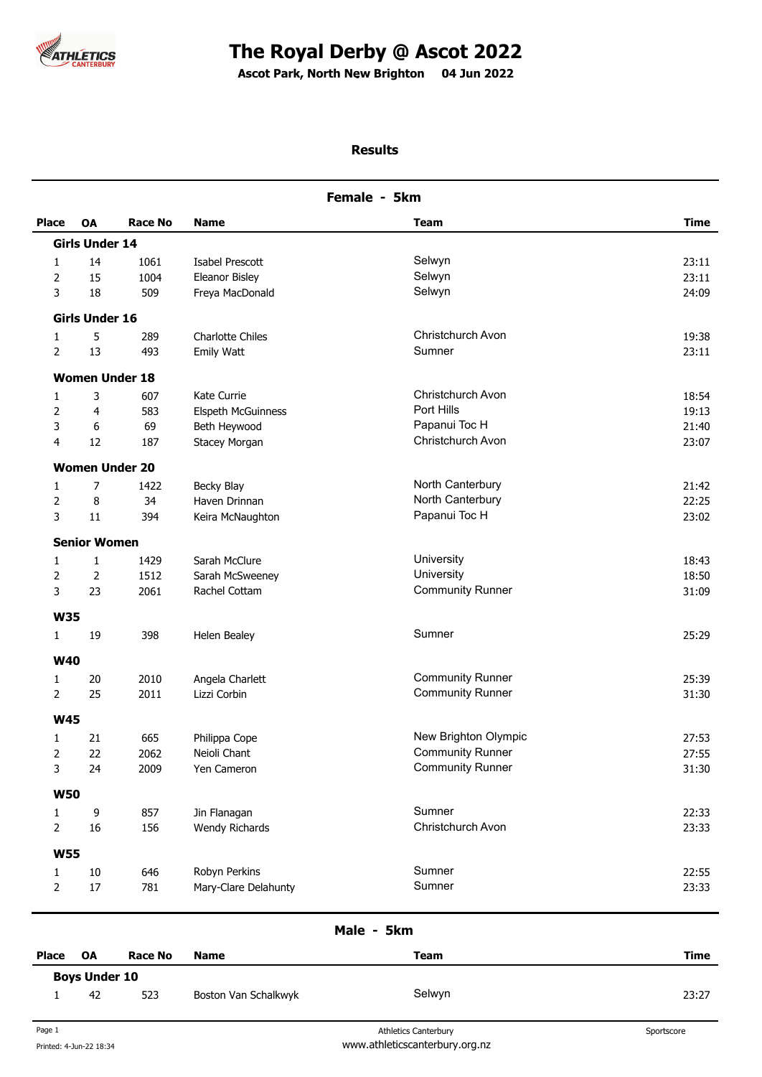

# **The Royal Derby @ Ascot 2022**

**Ascot Park, North New Brighton 04 Jun 2022 .** 

# **Results**

| Female - 5km   |                       |                |                      |                         |       |
|----------------|-----------------------|----------------|----------------------|-------------------------|-------|
| <b>Place</b>   | <b>OA</b>             | <b>Race No</b> | <b>Name</b>          | Team                    | Time  |
|                | <b>Girls Under 14</b> |                |                      |                         |       |
| $\mathbf{1}$   | 14                    | 1061           | Isabel Prescott      | Selwyn                  | 23:11 |
| 2              | 15                    | 1004           | Eleanor Bisley       | Selwyn                  | 23:11 |
| 3              | 18                    | 509            | Freya MacDonald      | Selwyn                  | 24:09 |
|                | <b>Girls Under 16</b> |                |                      |                         |       |
| 1              | 5                     | 289            | Charlotte Chiles     | Christchurch Avon       | 19:38 |
| 2              | 13                    | 493            | <b>Emily Watt</b>    | Sumner                  | 23:11 |
|                | <b>Women Under 18</b> |                |                      |                         |       |
| $\mathbf{1}$   | 3                     | 607            | Kate Currie          | Christchurch Avon       | 18:54 |
| 2              | 4                     | 583            | Elspeth McGuinness   | Port Hills              | 19:13 |
| 3              | 6                     | 69             | Beth Heywood         | Papanui Toc H           | 21:40 |
| 4              | 12                    | 187            | Stacey Morgan        | Christchurch Avon       | 23:07 |
|                | <b>Women Under 20</b> |                |                      |                         |       |
| 1              | 7                     | 1422           | Becky Blay           | North Canterbury        | 21:42 |
| 2              | 8                     | 34             | Haven Drinnan        | North Canterbury        | 22:25 |
| 3              | 11                    | 394            | Keira McNaughton     | Papanui Toc H           | 23:02 |
|                | <b>Senior Women</b>   |                |                      |                         |       |
| 1              | $\mathbf{1}$          | 1429           | Sarah McClure        | University              | 18:43 |
| 2              | 2                     | 1512           | Sarah McSweeney      | University              | 18:50 |
| 3              | 23                    | 2061           | Rachel Cottam        | <b>Community Runner</b> | 31:09 |
| <b>W35</b>     |                       |                |                      |                         |       |
| $\mathbf{1}$   | 19                    | 398            | Helen Bealey         | Sumner                  | 25:29 |
| <b>W40</b>     |                       |                |                      |                         |       |
| 1              | 20                    | 2010           | Angela Charlett      | <b>Community Runner</b> | 25:39 |
| $\overline{2}$ | 25                    | 2011           | Lizzi Corbin         | <b>Community Runner</b> | 31:30 |
| <b>W45</b>     |                       |                |                      |                         |       |
| 1              | 21                    | 665            | Philippa Cope        | New Brighton Olympic    | 27:53 |
| 2              | 22                    | 2062           | Neioli Chant         | <b>Community Runner</b> | 27:55 |
| 3              | 24                    | 2009           | Yen Cameron          | <b>Community Runner</b> | 31:30 |
| <b>W50</b>     |                       |                |                      |                         |       |
| 1              | 9                     | 857            | Jin Flanagan         | Sumner                  | 22:33 |
| $\overline{2}$ | 16                    | 156            | Wendy Richards       | Christchurch Avon       | 23:33 |
| <b>W55</b>     |                       |                |                      |                         |       |
| $\mathbf{1}$   | $10\,$                | 646            | Robyn Perkins        | Sumner                  | 22:55 |
| $\overline{2}$ | $17\,$                | 781            | Mary-Clare Delahunty | Sumner                  | 23:33 |
|                |                       |                |                      |                         |       |

### **Male - 5km**

| Place                | OA | <b>Race No</b> | <b>Name</b>          | Team   | <b>Time</b> |
|----------------------|----|----------------|----------------------|--------|-------------|
| <b>Boys Under 10</b> |    |                |                      |        |             |
|                      | 42 | 523            | Boston Van Schalkwyk | Selwyn | 23:27       |
|                      |    |                |                      |        |             |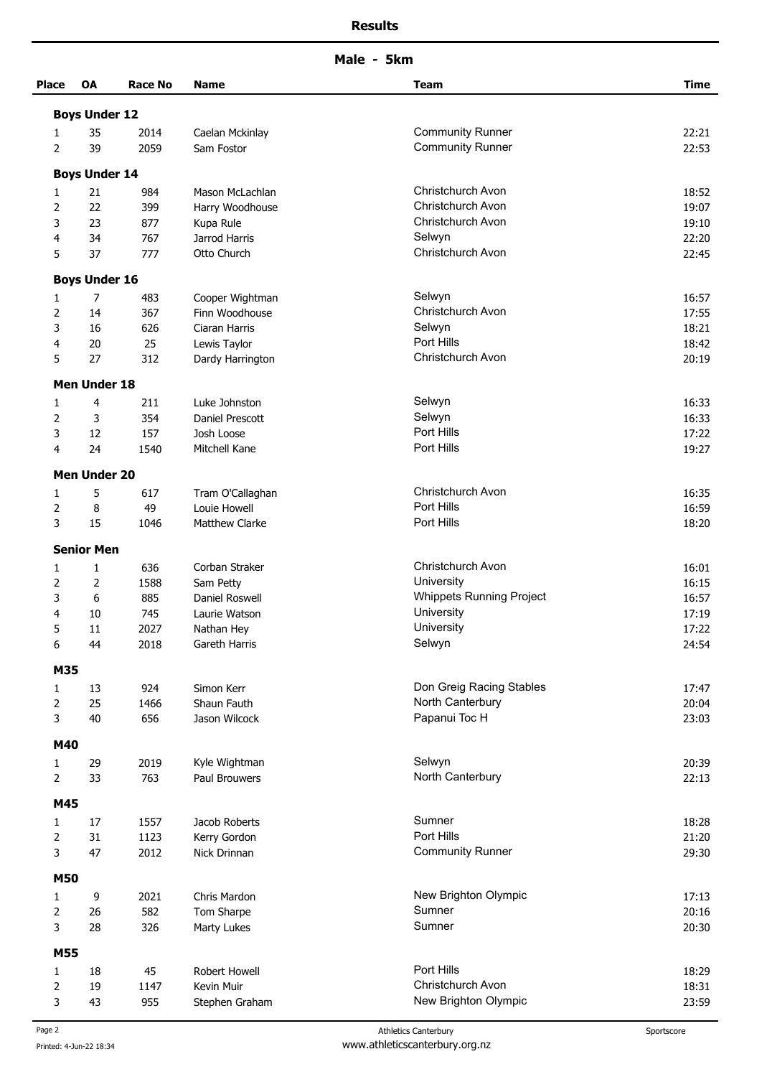**Male - 5km** 

| <b>Place</b>   | <b>OA</b>            | Race No | <b>Name</b>      | <b>Team</b>                     | <b>Time</b> |
|----------------|----------------------|---------|------------------|---------------------------------|-------------|
|                | <b>Boys Under 12</b> |         |                  |                                 |             |
| 1              | 35                   | 2014    | Caelan Mckinlay  | <b>Community Runner</b>         | 22:21       |
| 2              | 39                   | 2059    | Sam Fostor       | <b>Community Runner</b>         | 22:53       |
|                | <b>Boys Under 14</b> |         |                  |                                 |             |
| 1              | 21                   | 984     | Mason McLachlan  | Christchurch Avon               | 18:52       |
| 2              | 22                   | 399     | Harry Woodhouse  | Christchurch Avon               | 19:07       |
| 3              | 23                   | 877     | Kupa Rule        | Christchurch Avon               | 19:10       |
| 4              | 34                   | 767     | Jarrod Harris    | Selwyn                          | 22:20       |
| 5              | 37                   | 777     | Otto Church      | Christchurch Avon               | 22:45       |
|                | <b>Boys Under 16</b> |         |                  |                                 |             |
| 1              | 7                    | 483     | Cooper Wightman  | Selwyn                          | 16:57       |
| 2              | 14                   | 367     | Finn Woodhouse   | Christchurch Avon               | 17:55       |
| 3              | 16                   | 626     | Ciaran Harris    | Selwyn                          | 18:21       |
| 4              | 20                   | 25      | Lewis Taylor     | Port Hills                      | 18:42       |
| 5              | 27                   | 312     | Dardy Harrington | Christchurch Avon               | 20:19       |
|                | <b>Men Under 18</b>  |         |                  |                                 |             |
| 1              | 4                    | 211     | Luke Johnston    | Selwyn                          | 16:33       |
| 2              | 3                    | 354     | Daniel Prescott  | Selwyn                          | 16:33       |
| 3              | 12                   | 157     | Josh Loose       | Port Hills                      | 17:22       |
| 4              | 24                   | 1540    | Mitchell Kane    | Port Hills                      | 19:27       |
|                | <b>Men Under 20</b>  |         |                  |                                 |             |
| 1              | 5                    | 617     | Tram O'Callaghan | Christchurch Avon               | 16:35       |
| 2              | 8                    | 49      | Louie Howell     | Port Hills                      | 16:59       |
| 3              | 15                   | 1046    | Matthew Clarke   | Port Hills                      | 18:20       |
|                | <b>Senior Men</b>    |         |                  |                                 |             |
| 1              | $\mathbf{1}$         | 636     | Corban Straker   | Christchurch Avon               | 16:01       |
| 2              | $\overline{2}$       | 1588    | Sam Petty        | University                      | 16:15       |
| 3              | 6                    | 885     | Daniel Roswell   | <b>Whippets Running Project</b> | 16:57       |
| 4              | 10                   | 745     | Laurie Watson    | University                      | 17:19       |
| 5              | 11                   | 2027    | Nathan Hey       | University                      | 17:22       |
| 6              | 44                   | 2018    | Gareth Harris    | Selwyn                          | 24:54       |
| M35            |                      |         |                  |                                 |             |
| 1              | 13                   | 924     | Simon Kerr       | Don Greig Racing Stables        | 17:47       |
| 2              | 25                   | 1466    | Shaun Fauth      | North Canterbury                | 20:04       |
| 3              | 40                   | 656     | Jason Wilcock    | Papanui Toc H                   | 23:03       |
| M40            |                      |         |                  |                                 |             |
| 1              | 29                   | 2019    | Kyle Wightman    | Selwyn                          | 20:39       |
| $\overline{2}$ | 33                   | 763     | Paul Brouwers    | North Canterbury                | 22:13       |
| M45            |                      |         |                  |                                 |             |
| 1              | 17                   | 1557    | Jacob Roberts    | Sumner                          | 18:28       |
| 2              | 31                   | 1123    | Kerry Gordon     | Port Hills                      | 21:20       |
| 3              | 47                   | 2012    | Nick Drinnan     | <b>Community Runner</b>         | 29:30       |
| <b>M50</b>     |                      |         |                  |                                 |             |
| 1              | 9                    | 2021    | Chris Mardon     | New Brighton Olympic            | 17:13       |
| 2              | 26                   | 582     | Tom Sharpe       | Sumner                          | 20:16       |
| 3              | 28                   | 326     | Marty Lukes      | Sumner                          | 20:30       |
| M55            |                      |         |                  |                                 |             |
| 1              | 18                   | 45      | Robert Howell    | Port Hills                      | 18:29       |
| 2              | 19                   | 1147    | Kevin Muir       | Christchurch Avon               | 18:31       |
| 3              | 43                   | 955     | Stephen Graham   | New Brighton Olympic            | 23:59       |